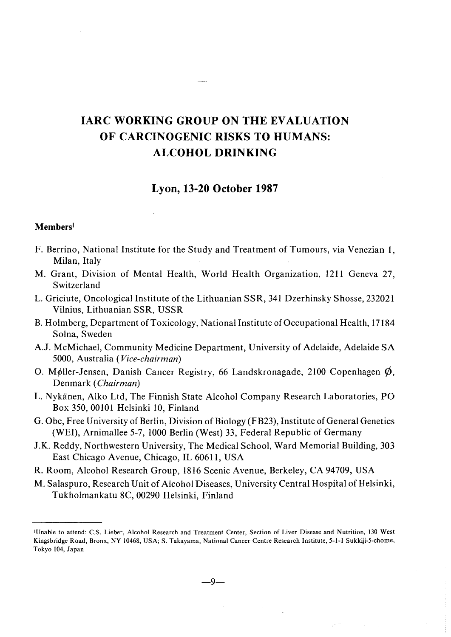# lARe WORKING GROUP ON THE EVALUATION OF CARCINOGENIC RISKS TO HUMANS: ALeOHOL DRINKING

### Lyon, 13-20 October 1987

### **Members**<sup>1</sup>

- F. Berrino, National Institute for the Study and Treatment of Tumours, via Venezian 1, Milan, Italy
- M. Grant, Division of Mental Health, World Health Organization, 1211 Geneva 27, Switzerland
- L. Griciute, Oncological Institute of the LIthuanian SSR, 341 Dzerhinsky Shosse, 232021 Vilnius, Lithuanian SSR, USSR
- B. Holmberg, Department of Toxicology, National Institute of Occupational Health, 17184 Solna, Sweden
- A.J. McMichael, Community Medicine Department, University of Adelaide, Adelaide SA 5000, Australia (Vice-chairman)
- O. Møller-Jensen, Danish Cancer Registry, 66 Landskronagade, 2100 Copenhagen  $\phi$ , Denmark (Chairman)
- L. Nykänen, Alko Ltd, The Finnish State A1cohol Company Research Laboratories, PO Box 350, 00101 Helsinki 10, Finland
- G. Obe, Free University of Berlin, Division of Biology (FB23), Institute of General Genetics (WEI), ArnimalIee 5-7, 1000 Berlin (West) 33, Federal Republic of Germany
- J.K. Reddy, Northwestern University, The Medical School, Ward Memorial Building, 303 East Chicago Avenue, Chicago, IL 60611, USA
- R. Room, Alcohol Research Group, 1816 Scenic Avenue, Berkeley, CA 94709, USA
- M. Salaspuro, Research Unit of A1cohol Diseases, University Central Hospital of Helsinki, Tukholmankatu 8C, 00290 Helsinki, Finland

-9-

 $\sim$ 

lUnable to attend: C.S. Lieber, Alcohol Research and Treatment Center, Section of Liver Disease and Nutrition, 130 West Kingsbridge Road, Bronx, NY 10468, USA; S. Takayama, National Cancer Centre Research Institute, 5-1-1 Sukkiji-5-chome, Tokyo 104, Japan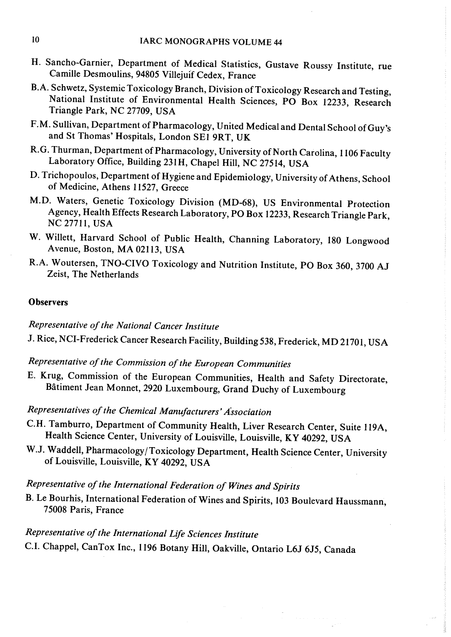- H. Sancho-Garnier, Department of Medical Statistics, Gustave Roussy Institute, rue Camille Desmoulins, 94805 Villejuif Cedex, France
- B.A. Schwetz, Systemic Toxicology Branch, Division of Toxicology Research and Testing, National Institute of Environmental Health Sciences, PO Box 12233, Research Triangle Park, NC 27709, USA
- F. M. Sullvan, Department of Pharmacology, United Medical and Dental School of Guy's and St Thomas' Hospitals, London SEI 9RT, UK
- R.G. Thurman, Department of Pharmacology, University of North Carolina, 1106 Faculty Laboratory Office, Building 231H, Chapel Hil, NC 27514, USA
- D. Trichopoulos, Department of Hygiene and Epidemiology, University of Athens, School of Medicine, Athens 11527, Greece
- M.D. Waters, Genetic Toxicology Division (MD-68), US Environmental Protection Agency, Health Effects Research Laboratory, PO Box 12233, Research Triangle Park, NC 27711, USA
- W. Wilett, Harvard School of Public Health, Channing Laboratory, 180 Longwood Avenue, Boston, MA 02113, USA
- R.A. Woutersen, TNO-CIVO Toxicology and Nutrition Institute, PO Box 360, 3700 AJ Zeist, The Netherlands

### **Observers**

## Representative of the National Cancer Institute

J. Rice, NCI-Frederick Cancer Research Facilty, Building 538, Frederick, MD 21701, USA

# Representative of the Commission of the European Communities

E. Krug, Commission of the European Communities, Health and Safety Directorate, Bâtiment Jean Monnet, 2920 Luxembourg, Grand Duchy of Luxembourg

## Representatives of the Chemical Manufacturers' Association

- C.H. Tamburro, Department of Community Health, Liver Research Center, Suite 119A, Health Science Center, University of Louisvile, Louisvile, KY 40292, USA
- W.J. Waddell, Pharmacology/Toxicology Department, Health Science Center, University of Louisvile, Louisvile, KY 40292, USA

## Representative of the International Federation of Wines and Spirits

B. Le Bourhis, International Federation of Wines and Spirits, 103 Boulevard Haussmann, 75008 Paris, France

# Representative of the International Life Sciences lnstitute

C.I. Chappel, CanTox Inc., 1196 Botany Hil, Oakvile, Ontario L6J 6J5, Canada